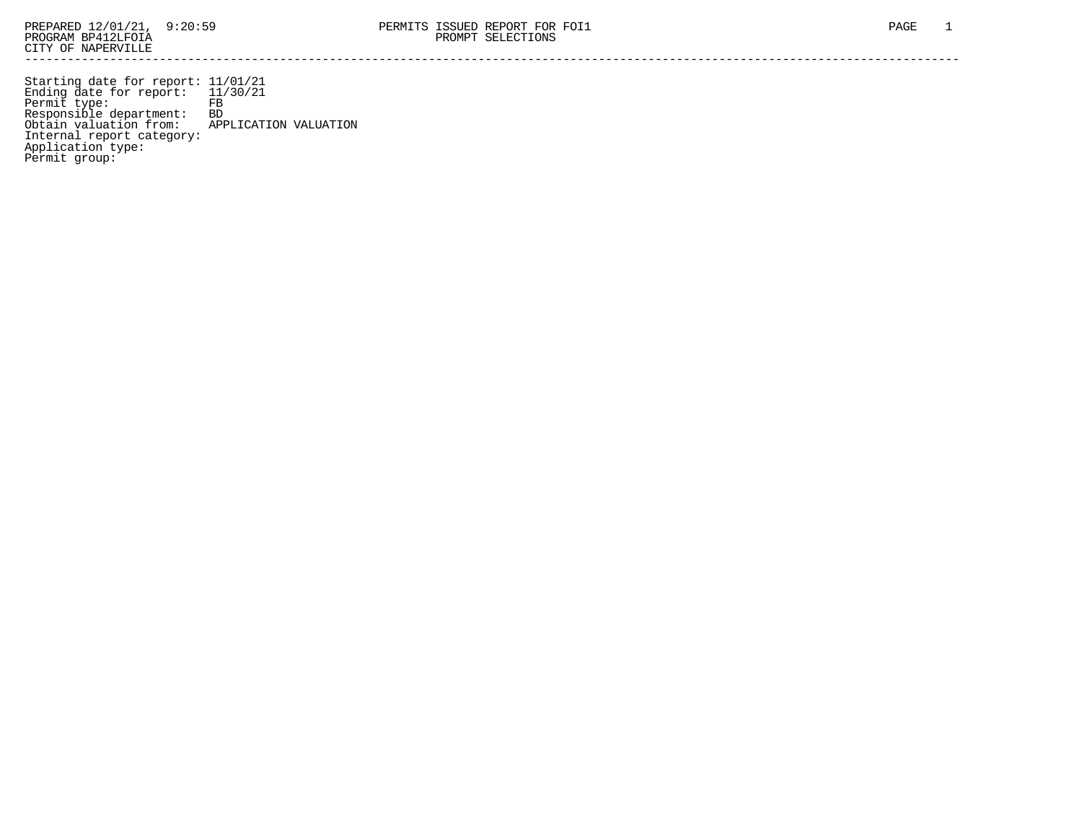Starting date for report: 11/01/21 Ending date for report: 11/30/21 Permit type: FB Responsible department: BD Obtain valuation from: APPLICATION VALUATION Internal report category: Application type: Permit group: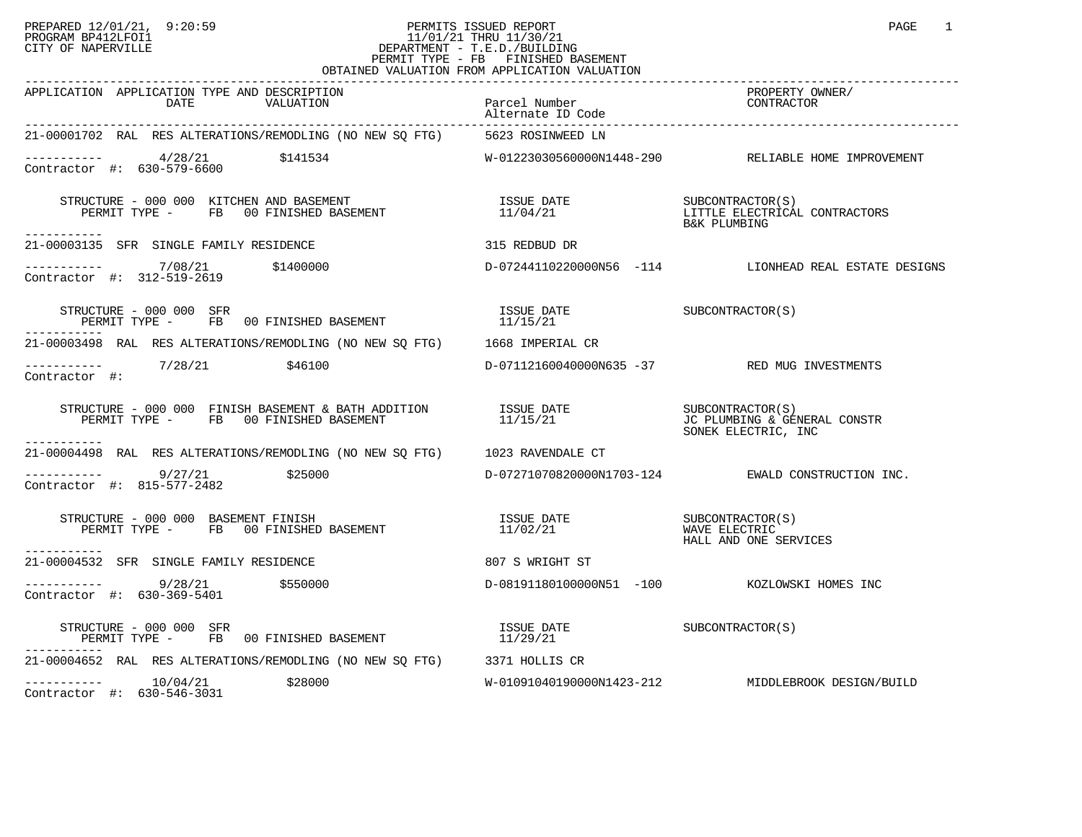## PREPARED 12/01/21, 9:20:59 PERMITS ISSUED REPORT PAGE 1 PROGRAM BP412LFOI1 11/01/21 THRU 11/30/21 CITY OF NAPERVILLE **Example 20** CITY OF NAPERVILLE PERMIT TYPE - FB FINISHED BASEMENT OBTAINED VALUATION FROM APPLICATION VALUATION

| APPLICATION APPLICATION TYPE AND DESCRIPTION<br>DATE<br>VALUATION                                                                                                                                                                                                                                                                                                                                                                             | Parcel Number<br>Alternate ID Code | PROPERTY OWNER/<br>CONTRACTOR                                     |
|-----------------------------------------------------------------------------------------------------------------------------------------------------------------------------------------------------------------------------------------------------------------------------------------------------------------------------------------------------------------------------------------------------------------------------------------------|------------------------------------|-------------------------------------------------------------------|
| 21-00001702 RAL RES ALTERATIONS/REMODLING (NO NEW SQ FTG) 5623 ROSINWEED LN                                                                                                                                                                                                                                                                                                                                                                   |                                    |                                                                   |
| $--------$ 4/28/21 \$141534<br>Contractor #: $630 - 579 - 6600$                                                                                                                                                                                                                                                                                                                                                                               |                                    | W-01223030560000N1448-290 RELIABLE HOME IMPROVEMENT               |
| -----------                                                                                                                                                                                                                                                                                                                                                                                                                                   |                                    | SUBCONTRACTOR(S)<br>LITTLE ELECTRICAL CONTRACTORS<br>B&K PLUMBING |
| 21-00003135 SFR SINGLE FAMILY RESIDENCE                                                                                                                                                                                                                                                                                                                                                                                                       | 315 REDBUD DR                      |                                                                   |
| ----------- 7/08/21 \$1400000<br>Contractor #: 312-519-2619                                                                                                                                                                                                                                                                                                                                                                                   |                                    | D-07244110220000N56 -114 LIONHEAD REAL ESTATE DESIGNS             |
| $\begin{array}{cccc} \texttt{STRUCTURE} - 000\ 000\ \texttt{SFR} \\ \texttt{PERMIT}\ \texttt{TPE} - \texttt{FB} \end{array} \qquad \begin{array}{cccc} \texttt{00}\ \texttt{FINISHED} \end{array} \qquad \begin{array}{cccc} \texttt{BASEMENT} \\ \texttt{11/15/21} \end{array} \qquad \begin{array}{cccc} \texttt{INISUE} \end{array} \qquad \begin{array}{cccc} \texttt{SUECONTRACTOR(S)} \\ \texttt{12/15/21} \end{array}$<br>------------ |                                    |                                                                   |
| 21-00003498 RAL RES ALTERATIONS/REMODLING (NO NEW SQ FTG) 1668 IMPERIAL CR                                                                                                                                                                                                                                                                                                                                                                    |                                    |                                                                   |
| $--------- 7/28/21$ \$46100<br>Contractor #:                                                                                                                                                                                                                                                                                                                                                                                                  |                                    | D-07112160040000N635 -37 RED MUG INVESTMENTS                      |
| $\begin{array}{cccccc} \texttt{STRUCTURE} & - & 000 & 000 & \texttt{FINISH BASEMENT} & \texttt{BATH ADDITION} & & & & & \\ \texttt{PERMIT TYPE} & - & \texttt{FB} & 00 \texttt{ FINISHED BASEMENT} & & & & & \\ \end{array} \qquad \begin{array}{cccccc} \texttt{ISUE} & \texttt{DATE} & & & & & \\ \texttt{11/15/21} & & & & & \texttt{UC PLUMBING} & \texttt{GENERAL CONSTR} \\ \end{array}$                                                |                                    | SONEK ELECTRIC, INC                                               |
| 21-00004498 RAL RES ALTERATIONS/REMODLING (NO NEW SQ FTG) 1023 RAVENDALE CT                                                                                                                                                                                                                                                                                                                                                                   |                                    |                                                                   |
| ---------- 9/27/21 \$25000<br>Contractor #: 815-577-2482                                                                                                                                                                                                                                                                                                                                                                                      |                                    | D-07271070820000N1703-124 EWALD CONSTRUCTION INC.                 |
| STRUCTURE - 000 000 BASEMENT FINISH<br>PERMIT TYPE - FB 00 FINISHED BASEMENT<br>-----------                                                                                                                                                                                                                                                                                                                                                   | ISSUE DATE<br>11/02/21             | SUBCONTRACTOR(S)<br>WAVE ELECTRIC<br>HALL AND ONE SERVICES        |
| 21-00004532 SFR SINGLE FAMILY RESIDENCE                                                                                                                                                                                                                                                                                                                                                                                                       | 807 S WRIGHT ST                    |                                                                   |
| $\frac{9}{28/21}$ \$550000<br>Contractor #: 630-369-5401                                                                                                                                                                                                                                                                                                                                                                                      |                                    | D-08191180100000N51 -100 KOZLOWSKI HOMES INC                      |
| $\begin{array}{cccc} \texttt{STRUCTURE} & - & 000 & 000 & \texttt{SFR} \\ \texttt{PERMIT} & \texttt{TPE} & - & \texttt{FB} & 00 & \texttt{FINISHED BASEMENT} \end{array} \qquad \begin{array}{cccc} \texttt{ISSUE} & \texttt{DATE} \\ 11/29/21 \end{array} \qquad \begin{array}{cccc} \texttt{SUBCONTRACTOR(S)} \\ \end{array}$                                                                                                               |                                    |                                                                   |
| 21-00004652 RAL RES ALTERATIONS/REMODLING (NO NEW SQ FTG) 3371 HOLLIS CR                                                                                                                                                                                                                                                                                                                                                                      |                                    |                                                                   |
| $--------$ 10/04/21<br>\$28000<br>Contractor #: 630-546-3031                                                                                                                                                                                                                                                                                                                                                                                  |                                    | W-01091040190000N1423-212 MIDDLEBROOK DESIGN/BUILD                |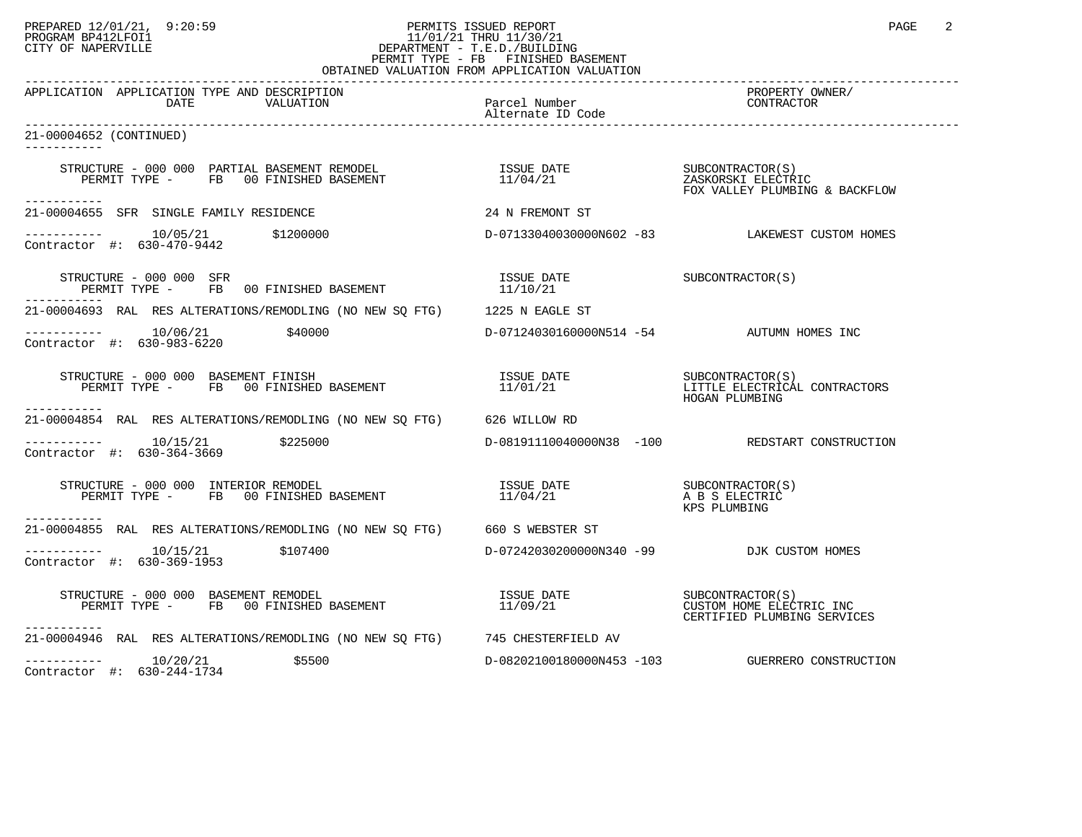## PREPARED 12/01/21, 9:20:59 PERMITS ISSUED REPORT PAGE 2 PROGRAM BP412LFOI1 11/01/21 THRU 11/30/21 CITY OF NAPERVILLE **Example 20** CITY OF NAPERVILLE PERMIT TYPE - FB FINISHED BASEMENT

| OBTAINED VALUATION FROM APPLICATION VALUATION                                                                                                                                                                   |                                           |                                                         |  |  |
|-----------------------------------------------------------------------------------------------------------------------------------------------------------------------------------------------------------------|-------------------------------------------|---------------------------------------------------------|--|--|
| APPLICATION APPLICATION TYPE AND DESCRIPTION                                                                                                                                                                    |                                           | PROPERTY OWNER/<br>CONTRACTOR                           |  |  |
| 21-00004652 (CONTINUED)<br>-----------                                                                                                                                                                          |                                           |                                                         |  |  |
| STRUCTURE - 000 000 PARTIAL BASEMENT REMODEL                       ISSUE DATE                   SUBCONTRACTOR(S)<br>PERMIT TYPE -     FB   00 FINISHED BASEMENT                         11/04/21<br>----------- |                                           |                                                         |  |  |
| 21-00004655 SFR SINGLE FAMILY RESIDENCE                                                                                                                                                                         | 24 N FREMONT ST                           |                                                         |  |  |
| $---------$ 10/05/21 \$1200000<br>Contractor #: 630-470-9442                                                                                                                                                    |                                           | D-07133040030000N602 -83 LAKEWEST CUSTOM HOMES          |  |  |
| STRUCTURE - 000 000 SFR                                                                                                                                                                                         | ISSUE DATE<br>11/10/21                    | SUBCONTRACTOR(S)                                        |  |  |
| 21-00004693 RAL RES ALTERATIONS/REMODLING (NO NEW SQ FTG) 1225 N EAGLE ST                                                                                                                                       |                                           |                                                         |  |  |
| $--------$ 10/06/21 $$40000$<br>Contractor #: 630-983-6220                                                                                                                                                      | D-07124030160000N514 -54 AUTUMN HOMES INC |                                                         |  |  |
| STRUCTURE - 000 000 BASEMENT FINISH<br>PERMIT TYPE - FB 00 FINISHED BASEMENT 11/01/21 11/01/21 LITTLE ELECTRICAL CONTRACTORS                                                                                    |                                           | HOGAN PLUMBING                                          |  |  |
| 21-00004854 RAL RES ALTERATIONS/REMODLING (NO NEW SO FTG) 626 WILLOW RD                                                                                                                                         |                                           |                                                         |  |  |
| $------ 10/15/21$ \$225000<br>Contractor #: 630-364-3669                                                                                                                                                        |                                           | D-08191110040000N38 -100 REDSTART CONSTRUCTION          |  |  |
| RUCTURE – 000 000 INTERIOR REMODEL<br>PERMIT TYPE – FB 00 FINISHED BASEMENT – 11/04/21 – A B S ELECTRIC<br>STRUCTURE - 000 000 INTERIOR REMODEL                                                                 |                                           | KPS PLUMBING                                            |  |  |
| 21-00004855 RAL RES ALTERATIONS/REMODLING (NO NEW SO FTG) 660 S WEBSTER ST                                                                                                                                      |                                           |                                                         |  |  |
| $\frac{10}{15/21}$ \$107400<br>Contractor #: 630-369-1953                                                                                                                                                       | D-07242030200000N340 -99 DJK CUSTOM HOMES |                                                         |  |  |
| STRUCTURE - 000 000 BASEMENT REMODEL<br>PERMIT TYPE -       FB   00 FINISHED BASEMENT<br>STRUCTURE - 000 000 BASEMENT REMODEL<br>----------                                                                     |                                           | CUSTOM HOME ELECTRIC INC<br>CERTIFIED PLUMBING SERVICES |  |  |
| 21-00004946 RAL RES ALTERATIONS/REMODLING (NO NEW SQ FTG) 745 CHESTERFIELD AV                                                                                                                                   |                                           |                                                         |  |  |
| $-------- 10/20/21$<br>\$5500<br>Contractor #: 630-244-1734                                                                                                                                                     |                                           | D-08202100180000N453 -103 GUERRERO CONSTRUCTION         |  |  |